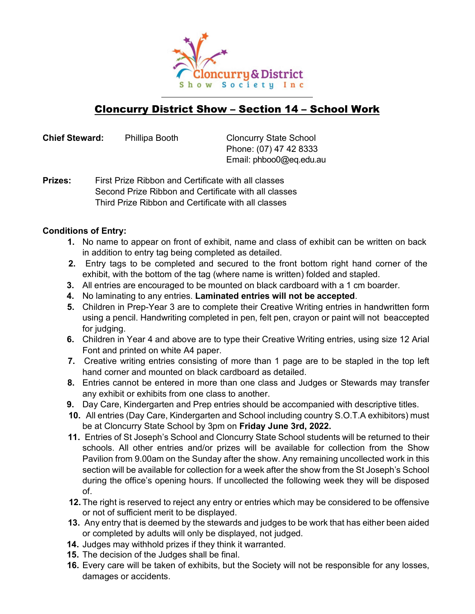

# Cloncurry District Show – Section 14 – School Work

Chief Steward: Phillipa Booth Cloncurry State School

Phone: (07) 47 42 8333 Email: phboo0@eq.edu.au

**Prizes:** First Prize Ribbon and Certificate with all classes Second Prize Ribbon and Certificate with all classes Third Prize Ribbon and Certificate with all classes

### Conditions of Entry:

- 1. No name to appear on front of exhibit, name and class of exhibit can be written on back in addition to entry tag being completed as detailed.
- 2. Entry tags to be completed and secured to the front bottom right hand corner of the exhibit, with the bottom of the tag (where name is written) folded and stapled.
- 3. All entries are encouraged to be mounted on black cardboard with a 1 cm boarder.
- 4. No laminating to any entries. Laminated entries will not be accepted.
- 5. Children in Prep-Year 3 are to complete their Creative Writing entries in handwritten form using a pencil. Handwriting completed in pen, felt pen, crayon or paint will not be accepted for judging.
- 6. Children in Year 4 and above are to type their Creative Writing entries, using size 12 Arial Font and printed on white A4 paper.
- 7. Creative writing entries consisting of more than 1 page are to be stapled in the top left hand corner and mounted on black cardboard as detailed.
- 8. Entries cannot be entered in more than one class and Judges or Stewards may transfer any exhibit or exhibits from one class to another.
- 9. Day Care, Kindergarten and Prep entries should be accompanied with descriptive titles.
- 10. All entries (Day Care, Kindergarten and School including country S.O.T.A exhibitors) must be at Cloncurry State School by 3pm on Friday June 3rd, 2022.
- 11. Entries of St Joseph's School and Cloncurry State School students will be returned to their schools. All other entries and/or prizes will be available for collection from the Show Pavilion from 9.00am on the Sunday after the show. Any remaining uncollected work in this section will be available for collection for a week after the show from the St Joseph's School during the office's opening hours. If uncollected the following week they will be disposed of.
- 12. The right is reserved to reject any entry or entries which may be considered to be offensive or not of sufficient merit to be displayed.
- 13. Any entry that is deemed by the stewards and judges to be work that has either been aided or completed by adults will only be displayed, not judged.
- 14. Judges may withhold prizes if they think it warranted.
- 15. The decision of the Judges shall be final.
- 16. Every care will be taken of exhibits, but the Society will not be responsible for any losses, damages or accidents.